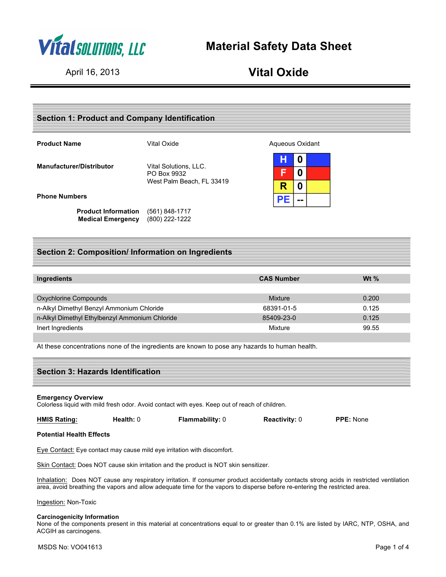

# **Material Safety Data Sheet**

# April 16, 2013 **Vital Oxide**

| <b>Section 1: Product and Company Identification</b>   |                                                                   |                 |                            |  |
|--------------------------------------------------------|-------------------------------------------------------------------|-----------------|----------------------------|--|
| <b>Product Name</b>                                    | Vital Oxide                                                       | Aqueous Oxidant |                            |  |
| <b>Manufacturer/Distributor</b>                        | Vital Solutions, LLC.<br>PO Box 9932<br>West Palm Beach, FL 33419 | Н<br>F<br>R     | 0<br>0<br>$\boldsymbol{0}$ |  |
| <b>Phone Numbers</b>                                   |                                                                   | <b>PE</b>       | --                         |  |
| <b>Product Information</b><br><b>Medical Emergency</b> | (561) 848-1717<br>(800) 222-1222                                  |                 |                            |  |

# **Section 2: Composition/ Information on Ingredients**

| Ingredients                                    | <b>CAS Number</b> | W <sub>t</sub> $\%$ |
|------------------------------------------------|-------------------|---------------------|
| Oxychlorine Compounds                          | Mixture           | 0.200               |
| n-Alkyl Dimethyl Benzyl Ammonium Chloride      | 68391-01-5        | 0.125               |
| n-Alkyl Dimethyl Ethylbenzyl Ammonium Chloride | 85409-23-0        | 0.125               |
| Inert Ingredients                              | Mixture           | 99.55               |

At these concentrations none of the ingredients are known to pose any hazards to human health.

| <b>Section 3: Hazards Identification</b> |  |
|------------------------------------------|--|
|                                          |  |

#### **Emergency Overview**

Colorless liquid with mild fresh odor. Avoid contact with eyes. Keep out of reach of children.

| <b>HMIS Rating:</b> | Health: 0 | <b>Flammability: 0</b> | <b>Reactivity: 0</b> | <b>PPE: None</b> |
|---------------------|-----------|------------------------|----------------------|------------------|
|                     |           |                        |                      |                  |

## **Potential Health Effects**

Eye Contact: Eye contact may cause mild eye irritation with discomfort.

Skin Contact: Does NOT cause skin irritation and the product is NOT skin sensitizer.

Inhalation: Does NOT cause any respiratory irritation. If consumer product accidentally contacts strong acids in restricted ventilation area, avoid breathing the vapors and allow adequate time for the vapors to disperse before re-entering the restricted area.

Ingestion: Non-Toxic

### **Carcinogenicity Information**

None of the components present in this material at concentrations equal to or greater than 0.1% are listed by IARC, NTP, OSHA, and ACGIH as carcinogens.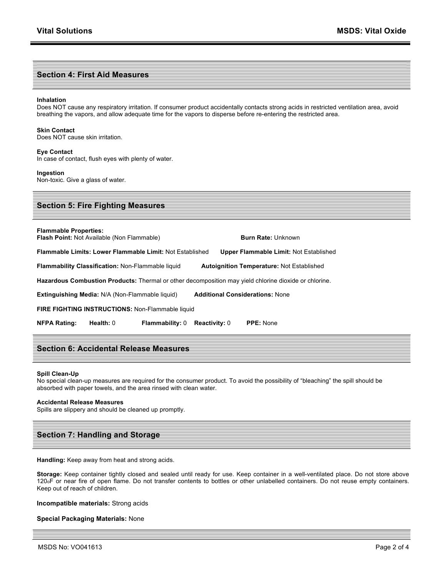### **Section 4: First Aid Measures**

#### **Inhalation**

Does NOT cause any respiratory irritation. If consumer product accidentally contacts strong acids in restricted ventilation area, avoid breathing the vapors, and allow adequate time for the vapors to disperse before re-entering the restricted area.

#### **Skin Contact**

Does NOT cause skin irritation.

#### **Eye Contact**

In case of contact, flush eyes with plenty of water.

#### **Ingestion**

Non-toxic. Give a glass of water.

## **Section 5: Fire Fighting Measures**

**Flammable Properties: Flash Point: Not Available (Non Flammable) <b>Burn Rate: Unknown** 

**Flammable Limits: Lower Flammable Limit:** Not Established **Upper Flammable Limit:** Not Established

**Flammability Classification:** Non-Flammable liquid **Autoignition Temperature:** Not Established

**Hazardous Combustion Products:** Thermal or other decomposition may yield chlorine dioxide or chlorine.

**Extinguishing Media:** N/A (Non-Flammable liquid) **Additional Considerations:** None

**FIRE FIGHTING INSTRUCTIONS:** Non-Flammable liquid

**NFPA Rating: Health:** 0 **Flammability:** 0 **Reactivity:** 0 **PPE:** None

## **Section 6: Accidental Release Measures**

#### **Spill Clean-Up**

No special clean-up measures are required for the consumer product. To avoid the possibility of "bleaching" the spill should be absorbed with paper towels, and the area rinsed with clean water.

#### **Accidental Release Measures**

Spills are slippery and should be cleaned up promptly.

## **Section 7: Handling and Storage**

**Handling:** Keep away from heat and strong acids.

**Storage:** Keep container tightly closed and sealed until ready for use. Keep container in a well-ventilated place. Do not store above 120oF or near fire of open flame. Do not transfer contents to bottles or other unlabelled containers. Do not reuse empty containers. Keep out of reach of children.

**Incompatible materials:** Strong acids

### **Special Packaging Materials:** None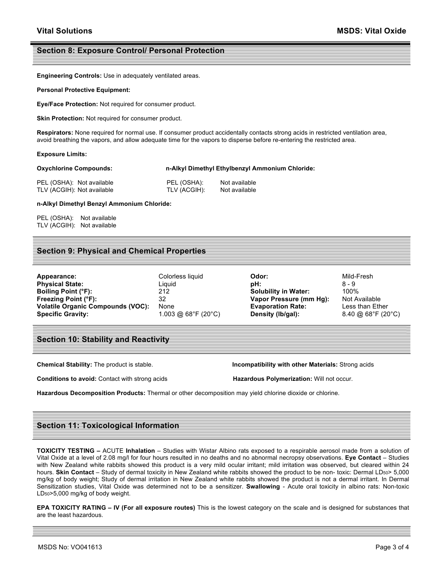## **Section 8: Exposure Control/ Personal Protection**

**Engineering Controls:** Use in adequately ventilated areas.

**Personal Protective Equipment:**

**Eye/Face Protection:** Not required for consumer product.

**Skin Protection:** Not required for consumer product.

**Respirators:** None required for normal use. If consumer product accidentally contacts strong acids in restricted ventilation area, avoid breathing the vapors, and allow adequate time for the vapors to disperse before re-entering the restricted area.

#### **Exposure Limits:**

**Oxychlorine Compounds: n-Alkyl Dimethyl Ethylbenzyl Ammonium Chloride:**

| PEL (OSHA): Not available  | PEL (OSHA):  | Not available |
|----------------------------|--------------|---------------|
| TLV (ACGIH): Not available | TLV (ACGIH): | Not available |

**n-Alkyl Dimethyl Benzyl Ammonium Chloride:**

PEL (OSHA): Not available TLV (ACGIH): Not available

## **Section 9: Physical and Chemical Properties**

| Appearance:                              | Colorless liquid    | Odor:                       | Mild-Fresh    |
|------------------------------------------|---------------------|-----------------------------|---------------|
| <b>Physical State:</b>                   | Liauid              | pH:                         | 8 - 9         |
| Boiling Point (°F):                      | 212                 | <b>Solubility in Water:</b> | 100%          |
| Freezing Point (°F):                     | 32                  | Vapor Pressure (mm Hg):     | Not Availa    |
| <b>Volatile Organic Compounds (VOC):</b> | None                | <b>Evaporation Rate:</b>    | Less than     |
| <b>Specific Gravity:</b>                 | 1.003 @ 68°F (20°C) | Density (lb/gal):           | $8.40 \ @ 68$ |

**Boiling Point (°F):** 212 **Solubility in Water:** 100% **Pressure (mm Hg):** Not Available **Voltation Rate:** Compounds Less than Ether **Specific Gravity:** 1.003 @ 68°F (20°C) **Density (lb/gal):** 8.40 @ 68°F (20°C)

## **Section 10: Stability and Reactivity**

**Conditions to avoid:** Contact with strong acids **Hazardous Polymerization:** Will not occur.

**Chemical Stability:** The product is stable. **Incompatibility with other Materials:** Strong acids

**Hazardous Decomposition Products:** Thermal or other decomposition may yield chlorine dioxide or chlorine.

# **Section 11: Toxicological Information**

**TOXICITY TESTING –** ACUTE **Inhalation** – Studies with Wistar Albino rats exposed to a respirable aerosol made from a solution of Vital Oxide at a level of 2.08 mg/l for four hours resulted in no deaths and no abnormal necropsy observations. **Eye Contact** – Studies with New Zealand white rabbits showed this product is a very mild ocular irritant; mild irritation was observed, but cleared within 24 hours. Skin Contact - Study of dermal toxicity in New Zealand white rabbits showed the product to be non- toxic: Dermal LD50> 5,000 mg/kg of body weight; Study of dermal irritation in New Zealand white rabbits showed the product is not a dermal irritant. In Dermal Sensitization studies, Vital Oxide was determined not to be a sensitizer. **Swallowing** - Acute oral toxicity in albino rats: Non-toxic LD50>5,000 mg/kg of body weight.

**EPA TOXICITY RATING – IV (For all exposure routes)** This is the lowest category on the scale and is designed for substances that are the least hazardous.